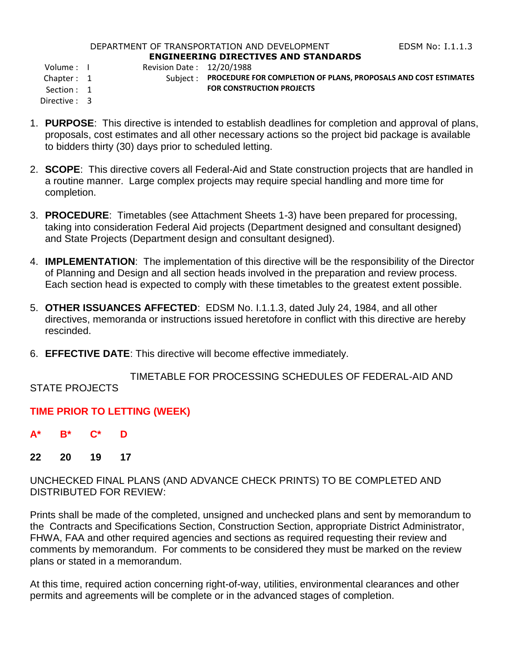#### DEPARTMENT OF TRANSPORTATION AND DEVELOPMENT FOR THE REDSM No: 1.1.1.3 **ENGINEERING DIRECTIVES AND STANDARDS**

Volume : I Revision Date : 12/20/1988

Directive : 3

- Chapter : 1 Subject : **PROCEDURE FOR COMPLETION OF PLANS, PROPOSALS AND COST ESTIMATES** Section : 1 **FOR CONSTRUCTION PROJECTS**
- 1. **PURPOSE**: This directive is intended to establish deadlines for completion and approval of plans, proposals, cost estimates and all other necessary actions so the project bid package is available to bidders thirty (30) days prior to scheduled letting.
- 2. **SCOPE**: This directive covers all Federal-Aid and State construction projects that are handled in a routine manner. Large complex projects may require special handling and more time for completion.
- 3. **PROCEDURE**: Timetables (see Attachment Sheets 1-3) have been prepared for processing, taking into consideration Federal Aid projects (Department designed and consultant designed) and State Projects (Department design and consultant designed).
- 4. **IMPLEMENTATION**: The implementation of this directive will be the responsibility of the Director of Planning and Design and all section heads involved in the preparation and review process. Each section head is expected to comply with these timetables to the greatest extent possible.
- 5. **OTHER ISSUANCES AFFECTED**: EDSM No. I.1.1.3, dated July 24, 1984, and all other directives, memoranda or instructions issued heretofore in conflict with this directive are hereby rescinded.
- 6. **EFFECTIVE DATE**: This directive will become effective immediately.

 TIMETABLE FOR PROCESSING SCHEDULES OF FEDERAL-AID AND STATE PROJECTS

## **TIME PRIOR TO LETTING (WEEK)**

- **A\* B\* C\* D**
- **22 20 19 17**

UNCHECKED FINAL PLANS (AND ADVANCE CHECK PRINTS) TO BE COMPLETED AND DISTRIBUTED FOR REVIEW:

Prints shall be made of the completed, unsigned and unchecked plans and sent by memorandum to the Contracts and Specifications Section, Construction Section, appropriate District Administrator, FHWA, FAA and other required agencies and sections as required requesting their review and comments by memorandum. For comments to be considered they must be marked on the review plans or stated in a memorandum.

At this time, required action concerning right-of-way, utilities, environmental clearances and other permits and agreements will be complete or in the advanced stages of completion.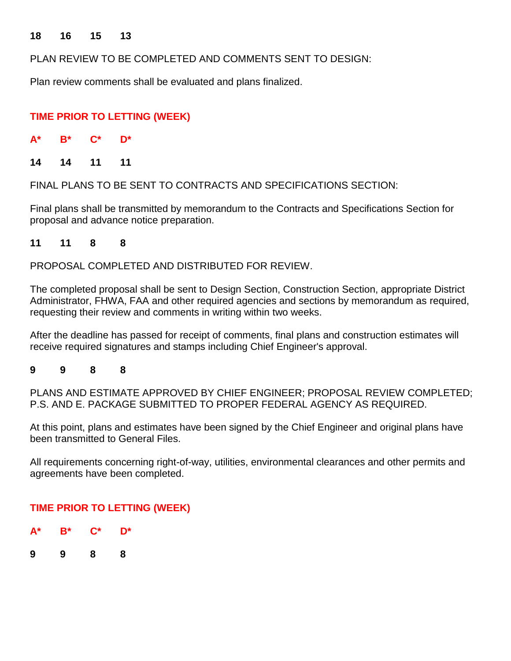#### **18 16 15 13**

PLAN REVIEW TO BE COMPLETED AND COMMENTS SENT TO DESIGN:

Plan review comments shall be evaluated and plans finalized.

## **TIME PRIOR TO LETTING (WEEK)**

| $A^*$ | B* | ∼∗ | D* |
|-------|----|----|----|
|       |    |    |    |

**14 14 11 11**

FINAL PLANS TO BE SENT TO CONTRACTS AND SPECIFICATIONS SECTION:

Final plans shall be transmitted by memorandum to the Contracts and Specifications Section for proposal and advance notice preparation.

**11 11 8 8**

PROPOSAL COMPLETED AND DISTRIBUTED FOR REVIEW.

The completed proposal shall be sent to Design Section, Construction Section, appropriate District Administrator, FHWA, FAA and other required agencies and sections by memorandum as required, requesting their review and comments in writing within two weeks.

After the deadline has passed for receipt of comments, final plans and construction estimates will receive required signatures and stamps including Chief Engineer's approval.

#### **9 9 8 8**

PLANS AND ESTIMATE APPROVED BY CHIEF ENGINEER; PROPOSAL REVIEW COMPLETED; P.S. AND E. PACKAGE SUBMITTED TO PROPER FEDERAL AGENCY AS REQUIRED.

At this point, plans and estimates have been signed by the Chief Engineer and original plans have been transmitted to General Files.

All requirements concerning right-of-way, utilities, environmental clearances and other permits and agreements have been completed.

## **TIME PRIOR TO LETTING (WEEK)**

| $A^*$ | $B^*$ | $\mathbf{C}^*$ | D* |
|-------|-------|----------------|----|
| 9     | 9     | 8              | 8  |